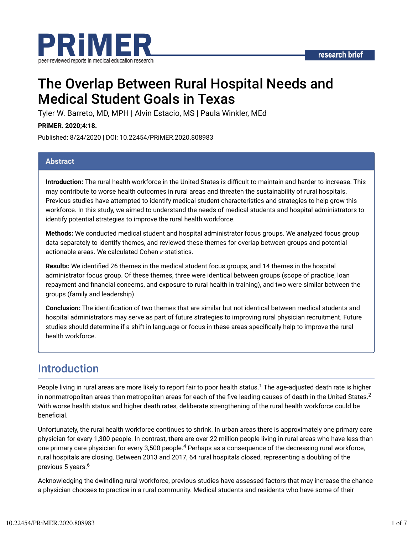

# The Overlap Between Rural Hospital Needs and Medical Student Goals in Texas

Tyler W. Barreto, MD, MPH | Alvin Estacio, MS | Paula Winkler, MEd

#### **PRiMER. 2020;4:18.**

Published: 8/24/2020 | DOI: 10.22454/PRiMER.2020.808983

#### **Abstract**

**Introduction:** The rural health workforce in the United States is difficult to maintain and harder to increase. This may contribute to worse health outcomes in rural areas and threaten the sustainability of rural hospitals. Previous studies have attempted to identify medical student characteristics and strategies to help grow this workforce. In this study, we aimed to understand the needs of medical students and hospital administrators to identify potential strategies to improve the rural health workforce.

**Methods:** We conducted medical student and hospital administrator focus groups. We analyzed focus group data separately to identify themes, and reviewed these themes for overlap between groups and potential actionable areas. We calculated Cohen  $\kappa$  statistics.

**Results:** We identified 26 themes in the medical student focus groups, and 14 themes in the hospital administrator focus group. Of these themes, three were identical between groups (scope of practice, loan repayment and financial concerns, and exposure to rural health in training), and two were similar between the groups (family and leadership).

**Conclusion:** The identification of two themes that are similar but not identical between medical students and hospital administrators may serve as part of future strategies to improving rural physician recruitment. Future studies should determine if a shift in language or focus in these areas specifically help to improve the rural health workforce.

## Introduction

People living in rural areas are more likely to report fair to poor health status.<sup>1</sup> The age-adjusted death rate is higher in nonmetropolitan areas than metropolitan areas for each of the five leading causes of death in the United States. $^2$ With worse health status and higher death rates, deliberate strengthening of the rural health workforce could be beneficial.

Unfortunately, the rural health workforce continues to shrink. In urban areas there is approximately one primary care physician for every 1,300 people. In contrast, there are over 22 million people living in rural areas who have less than one primary care physician for every 3,500 people.<sup>4</sup> Perhaps as a consequence of the decreasing rural workforce, rural hospitals are closing. Between 2013 and 2017, 64 rural hospitals closed, representing a doubling of the previous 5 years.<sup>6</sup>

Acknowledging the dwindling rural workforce, previous studies have assessed factors that may increase the chance a physician chooses to practice in a rural community. Medical students and residents who have some of their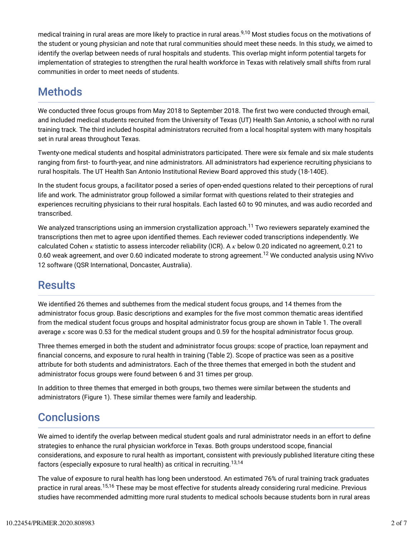medical training in rural areas are more likely to practice in rural areas.<sup>9,10</sup> Most studies focus on the motivations of the student or young physician and note that rural communities should meet these needs. In this study, we aimed to identify the overlap between needs of rural hospitals and students. This overlap might inform potential targets for implementation of strategies to strengthen the rural health workforce in Texas with relatively small shifts from rural communities in order to meet needs of students.

# **Methods**

We conducted three focus groups from May 2018 to September 2018. The first two were conducted through email, and included medical students recruited from the University of Texas (UT) Health San Antonio, a school with no rural training track. The third included hospital administrators recruited from a local hospital system with many hospitals set in rural areas throughout Texas.

Twenty-one medical students and hospital administrators participated. There were six female and six male students ranging from first- to fourth-year, and nine administrators. All administrators had experience recruiting physicians to rural hospitals. The UT Health San Antonio Institutional Review Board approved this study (18-140E).

In the student focus groups, a facilitator posed a series of open-ended questions related to their perceptions of rural life and work. The administrator group followed a similar format with questions related to their strategies and experiences recruiting physicians to their rural hospitals. Each lasted 60 to 90 minutes, and was audio recorded and transcribed.

We analyzed transcriptions using an immersion crystallization approach. $^{\sf 11}$  Two reviewers separately examined the transcriptions then met to agree upon identified themes. Each reviewer coded transcriptions independently. We calculated Cohen  $\kappa$  statistic to assess intercoder reliability (ICR). A  $\kappa$  below 0.20 indicated no agreement, 0.21 to 0.60 weak agreement, and over 0.60 indicated moderate to strong agreement. $^{12}$  We conducted analysis using NVivo 12 software (QSR International, Doncaster, Australia).

## **Results**

We identified 26 themes and subthemes from the medical student focus groups, and 14 themes from the administrator focus group. Basic descriptions and examples for the five most common thematic areas identified from the medical student focus groups and hospital administrator focus group are shown in Table 1. The overall average  $\kappa$  score was 0.53 for the medical student groups and 0.59 for the hospital administrator focus group.

Three themes emerged in both the student and administrator focus groups: scope of practice, loan repayment and financial concerns, and exposure to rural health in training (Table 2). Scope of practice was seen as a positive attribute for both students and administrators. Each of the three themes that emerged in both the student and administrator focus groups were found between 6 and 31 times per group.

In addition to three themes that emerged in both groups, two themes were similar between the students and administrators (Figure 1). These similar themes were family and leadership.

## **Conclusions**

We aimed to identify the overlap between medical student goals and rural administrator needs in an effort to define strategies to enhance the rural physician workforce in Texas. Both groups understood scope, financial considerations, and exposure to rural health as important, consistent with previously published literature citing these factors (especially exposure to rural health) as critical in recruiting.<sup>13,14</sup>

The value of exposure to rural health has long been understood. An estimated 76% of rural training track graduates practice in rural areas.<sup>15,16</sup> These may be most effective for students already considering rural medicine. Previous studies have recommended admitting more rural students to medical schools because students born in rural areas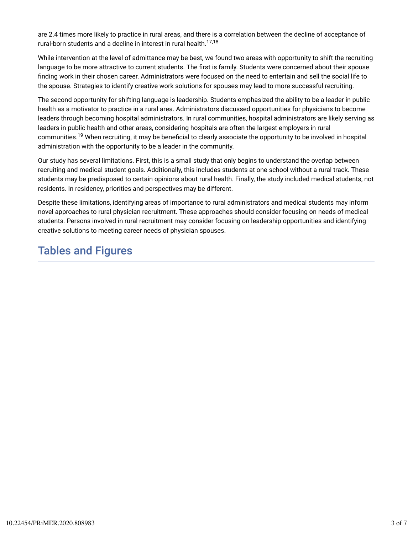are 2.4 times more likely to practice in rural areas, and there is a correlation between the decline of acceptance of rural-born students and a decline in interest in rural health. 17,18

While intervention at the level of admittance may be best, we found two areas with opportunity to shift the recruiting language to be more attractive to current students. The first is family. Students were concerned about their spouse finding work in their chosen career. Administrators were focused on the need to entertain and sell the social life to the spouse. Strategies to identify creative work solutions for spouses may lead to more successful recruiting.

The second opportunity for shifting language is leadership. Students emphasized the ability to be a leader in public health as a motivator to practice in a rural area. Administrators discussed opportunities for physicians to become leaders through becoming hospital administrators. In rural communities, hospital administrators are likely serving as leaders in public health and other areas, considering hospitals are often the largest employers in rural communities.<sup>19</sup> When recruiting, it may be beneficial to clearly associate the opportunity to be involved in hospital administration with the opportunity to be a leader in the community.

Our study has several limitations. First, this is a small study that only begins to understand the overlap between recruiting and medical student goals. Additionally, this includes students at one school without a rural track. These students may be predisposed to certain opinions about rural health. Finally, the study included medical students, not residents. In residency, priorities and perspectives may be different.

Despite these limitations, identifying areas of importance to rural administrators and medical students may inform novel approaches to rural physician recruitment. These approaches should consider focusing on needs of medical students. Persons involved in rural recruitment may consider focusing on leadership opportunities and identifying creative solutions to meeting career needs of physician spouses.

## Tables and Figures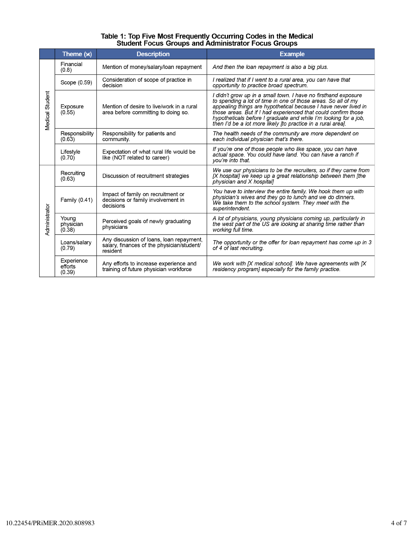# Table 1: Top Five Most Frequently Occurring Codes in the Medical<br>Student Focus Groups and Administrator Focus Groups

|                 | Theme $(x)$                     | <b>Description</b>                                                                                 | <b>Example</b>                                                                                                                                                                                                                                                                                                                                                                                           |
|-----------------|---------------------------------|----------------------------------------------------------------------------------------------------|----------------------------------------------------------------------------------------------------------------------------------------------------------------------------------------------------------------------------------------------------------------------------------------------------------------------------------------------------------------------------------------------------------|
| Medical Student | Financial<br>(0.8)              | Mention of money/salary/loan repayment                                                             | And then the loan repayment is also a big plus.                                                                                                                                                                                                                                                                                                                                                          |
|                 | Scope (0.59)                    | Consideration of scope of practice in<br>decision                                                  | I realized that if I went to a rural area, you can have that<br>opportunity to practice broad spectrum.                                                                                                                                                                                                                                                                                                  |
|                 | Exposure<br>(0.55)              | Mention of desire to live/work in a rural<br>area before committing to doing so.                   | I didn't grow up in a small town. I have no firsthand exposure<br>to spending a lot of time in one of those areas. So all of my<br>appealing things are hypothetical because I have never lived in<br>those areas. But if I had experienced that could confirm those<br>hypotheticals before I graduate and while I'm looking for a job,<br>then I'd be a lot more likely [to practice in a rural area]. |
|                 | Responsibility<br>(0.63)        | Responsibility for patients and<br>community.                                                      | The health needs of the community are more dependent on<br>each individual physician that's there.                                                                                                                                                                                                                                                                                                       |
|                 | Lifestyle<br>(0.70)             | Expectation of what rural life would be<br>like (NOT related to career)                            | If you're one of those people who like space, you can have<br>actual space. You could have land. You can have a ranch if<br>you're into that.                                                                                                                                                                                                                                                            |
| Administrator   | Recruiting<br>(0.63)            | Discussion of recruitment strategies                                                               | We use our physicians to be the recruiters, so if they came from<br>[X hospital] we keep up a great relationship between them [the<br>physician and X hospital]                                                                                                                                                                                                                                          |
|                 | Family (0.41)                   | Impact of family on recruitment or<br>decisions or family involvement in<br>decisions              | You have to interview the entire family. We hook them up with<br>physician's wives and they go to lunch and we do dinners.<br>We take them to the school system. They meet with the<br>superintendent.                                                                                                                                                                                                   |
|                 | Young<br>physician<br>(0.38)    | Perceived goals of newly graduating<br>physicians                                                  | A lot of physicians, young physicians coming up, particularly in<br>the west part of the US are looking at sharing time rather than<br>working full time.                                                                                                                                                                                                                                                |
|                 | Loans/salary<br>(0.79)          | Any discussion of loans, loan repayment,<br>salary, finances of the physician/student/<br>resident | The opportunity or the offer for loan repayment has come up in 3<br>of 4 of last recruiting.                                                                                                                                                                                                                                                                                                             |
|                 | Experience<br>efforts<br>(0.39) | Any efforts to increase experience and<br>training of future physician workforce                   | We work with $\bm{X}$ medical school]. We have agreements with $\bm{X}$<br>residency program] especially for the family practice.                                                                                                                                                                                                                                                                        |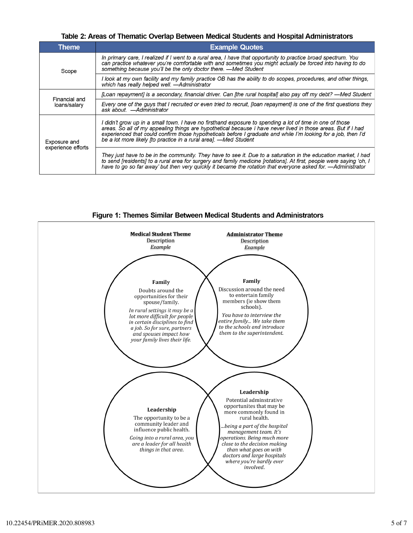Table 2: Areas of Thematic Overlap Between Medical Students and Hospital Administrators

| Theme.             | <b>Example Quotes</b>                                                                                                                                                                                                                                                                                                                                                                                           |  |
|--------------------|-----------------------------------------------------------------------------------------------------------------------------------------------------------------------------------------------------------------------------------------------------------------------------------------------------------------------------------------------------------------------------------------------------------------|--|
| Scope              | In primary care, I realized if I went to a rural area, I have that opportunity to practice broad spectrum. You<br>can practice whatever you're comfortable with and sometimes you might actually be forced into having to do<br>something because you'll be the only doctor there. -Med Student                                                                                                                 |  |
|                    | I look at my own facility and my family practice OB has the ability to do scopes, procedures, and other things,<br>which has really helped well. - Administrator                                                                                                                                                                                                                                                |  |
| Financial and      | [Loan repayment] is a secondary, financial driver. Can [the rural hospital] also pay off my debt? —Med Student                                                                                                                                                                                                                                                                                                  |  |
| loans/salary       | Every one of the guys that I recruited or even tried to recruit. [Ioan repayment] is one of the first questions they<br>ask about. — Administrator                                                                                                                                                                                                                                                              |  |
| Exposure and       | I didn't grow up in a small town. I have no firsthand exposure to spending a lot of time in one of those<br>areas. So all of my appealing things are hypothetical because I have never lived in those areas. But if I had<br>experienced that could confirm those hypotheticals before I graduate and while I'm looking for a job, then I'd<br>be a lot more likely [to practice in a rural area]. -Med Student |  |
| experience efforts | They just have to be in the community. They have to see it. Due to a saturation in the education market, I had<br>to send [residents] to a rural area for surgery and family medicine [rotations]. At first, people were saying 'oh, I<br>have to go so far away' but then very quickly it became the rotation that everyone asked for. — Administrator                                                         |  |



Figure 1: Themes Similar Between Medical Students and Administrators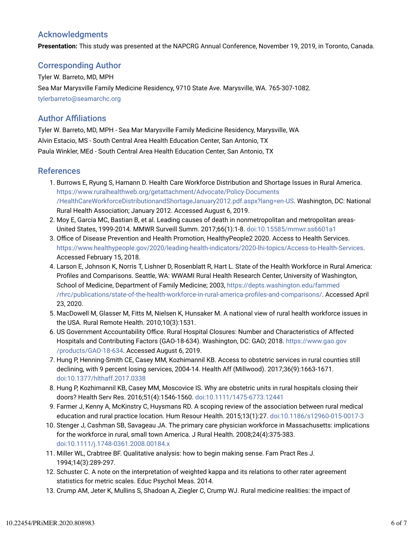### Acknowledgments

**Presentation:** This study was presented at the NAPCRG Annual Conference, November 19, 2019, in Toronto, Canada.

#### Corresponding Author

Tyler W. Barreto, MD, MPH Sea Mar Marysville Family Medicine Residency, 9710 State Ave. Marysville, WA. 765-307-1082. tylerbarreto@seamarchc.org

#### **Author Affiliations**

Tyler W. Barreto, MD, MPH - Sea Mar Marysville Family Medicine Residency, Marysville, WA Alvin Estacio, MS - South Central Area Health Education Center, San Antonio, TX Paula Winkler, MEd - South Central Area Health Education Center, San Antonio, TX

#### References

- 1. Burrows E, Ryung S, Hamann D. Health Care Workforce Distribution and Shortage Issues in Rural America. https://www.ruralhealthweb.org/getattachment/Advocate/Policy-Documents /HealthCareWorkforceDistributionandShortageJanuary2012.pdf.aspx?lang=en-US. Washington, DC: National Rural Health Association; January 2012. Accessed August 6, 2019.
- 2. Moy E, Garcia MC, Bastian B, et al. Leading causes of death in nonmetropolitan and metropolitan areas-United States, 1999-2014. MMWR Surveill Summ. 2017;66(1):1-8. doi:10.15585/mmwr.ss6601a1
- 3. Office of Disease Prevention and Health Promotion, HealthyPeople2 2020. Access to Health Services. https://www.healthypeople.gov/2020/leading-health-indicators/2020-lhi-topics/Access-to-Health-Services. Accessed February 15, 2018.
- 4. Larson E, Johnson K, Norris T, Lishner D, Rosenblatt R, Hart L. State of the Health Workforce in Rural America: Profiles and Comparisons. Seattle, WA: WWAMI Rural Health Research Center, University of Washington, School of Medicine, Department of Family Medicine; 2003, https://depts.washington.edu/fammed /rhrc/publications/state-of-the-health-workforce-in-rural-america-profiles-and-comparisons/. Accessed April 23, 2020.
- 5. MacDowell M, Glasser M, Fitts M, Nielsen K, Hunsaker M. A national view of rural health workforce issues in the USA. Rural Remote Health. 2010;10(3):1531.
- 6. US Government Accountability Office. Rural Hospital Closures: Number and Characteristics of Affected Hospitals and Contributing Factors (GAO-18-634). Washington, DC: GAO; 2018. https://www.gao.gov /products/GAO-18-634. Accessed August 6, 2019.
- 7. Hung P, Henning-Smith CE, Casey MM, Kozhimannil KB. Access to obstetric services in rural counties still declining, with 9 percent losing services, 2004-14. Health Aff (Millwood). 2017;36(9):1663-1671. doi:10.1377/hlthaff.2017.0338
- 8. Hung P, Kozhimannil KB, Casey MM, Moscovice IS. Why are obstetric units in rural hospitals closing their doors? Health Serv Res. 2016;51(4):1546-1560. doi:10.1111/1475-6773.12441
- 9. Farmer J, Kenny A, McKinstry C, Huysmans RD. A scoping review of the association between rural medical education and rural practice location. Hum Resour Health. 2015;13(1):27. doi:10.1186/s12960-015-0017-3
- 10. Stenger J, Cashman SB, Savageau JA. The primary care physician workforce in Massachusetts: implications for the workforce in rural, small town America. J Rural Health. 2008;24(4):375-383. doi:10.1111/j.1748-0361.2008.00184.x
- 11. Miller WL, Crabtree BF. Qualitative analysis: how to begin making sense. Fam Pract Res J. 1994;14(3):289-297.
- 12. Schuster C. A note on the interpretation of weighted kappa and its relations to other rater agreement statistics for metric scales. Educ Psychol Meas. 2014.
- 13. Crump AM, Jeter K, Mullins S, Shadoan A, Ziegler C, Crump WJ. Rural medicine realities: the impact of